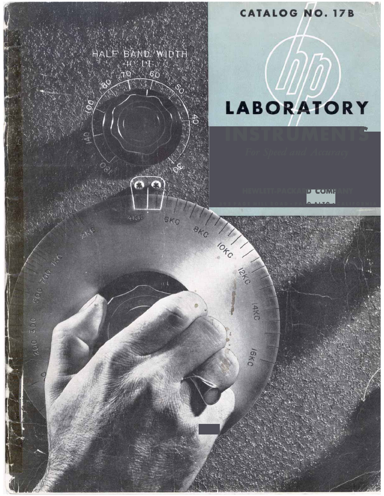